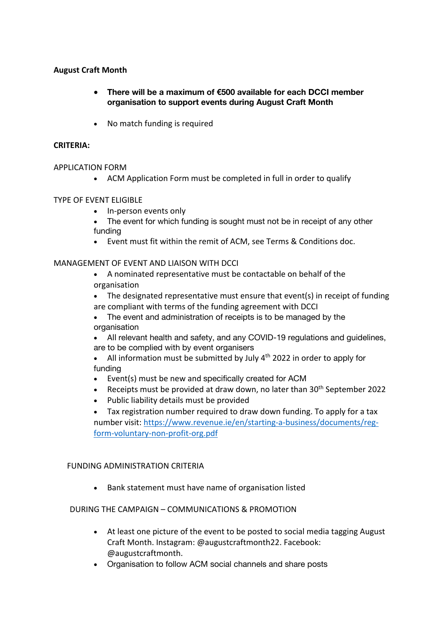# **August Craft Month**

- **There will be a maximum of €500 available for each DCCI member organisation to support events during August Craft Month**
- No match funding is required

## **CRITERIA:**

### APPLICATION FORM

• ACM Application Form must be completed in full in order to qualify

# TYPE OF EVENT ELIGIBLE

- In-person events only
- The event for which funding is sought must not be in receipt of any other funding
- Event must fit within the remit of ACM, see Terms & Conditions doc.

# MANAGEMENT OF EVENT AND LIAISON WITH DCCI

- A nominated representative must be contactable on behalf of the organisation
- The designated representative must ensure that event(s) in receipt of funding are compliant with terms of the funding agreement with DCCI
- The event and administration of receipts is to be managed by the organisation
- All relevant health and safety, and any COVID-19 regulations and guidelines, are to be complied with by event organisers
- All information must be submitted by July  $4<sup>th</sup>$  2022 in order to apply for funding
- Event(s) must be new and specifically created for ACM
- Receipts must be provided at draw down, no later than  $30<sup>th</sup>$  September 2022
- Public liability details must be provided
- Tax registration number required to draw down funding. To apply for a tax number visit: https://www.revenue.ie/en/starting-a-business/documents/regform-voluntary-non-profit-org.pdf

### FUNDING ADMINISTRATION CRITERIA

• Bank statement must have name of organisation listed

# DURING THE CAMPAIGN – COMMUNICATIONS & PROMOTION

- At least one picture of the event to be posted to social media tagging August Craft Month. Instagram: @augustcraftmonth22. Facebook: @augustcraftmonth.
- Organisation to follow ACM social channels and share posts